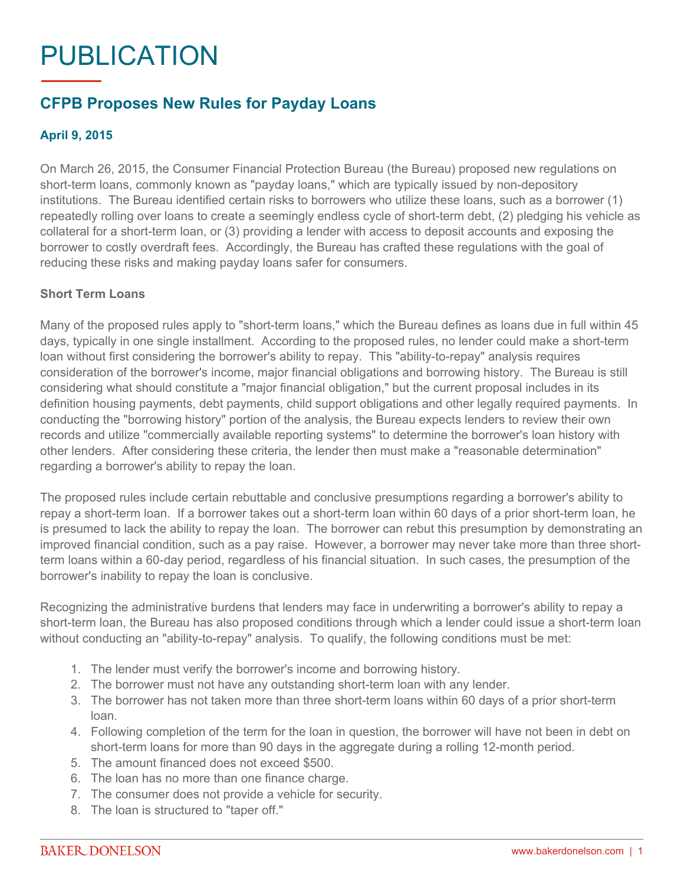# PUBLICATION

# **CFPB Proposes New Rules for Payday Loans**

## **April 9, 2015**

On March 26, 2015, the Consumer Financial Protection Bureau (the Bureau) proposed new regulations on short-term loans, commonly known as "payday loans," which are typically issued by non-depository institutions. The Bureau identified certain risks to borrowers who utilize these loans, such as a borrower (1) repeatedly rolling over loans to create a seemingly endless cycle of short-term debt, (2) pledging his vehicle as collateral for a short-term loan, or (3) providing a lender with access to deposit accounts and exposing the borrower to costly overdraft fees. Accordingly, the Bureau has crafted these regulations with the goal of reducing these risks and making payday loans safer for consumers.

#### **Short Term Loans**

Many of the proposed rules apply to "short-term loans," which the Bureau defines as loans due in full within 45 days, typically in one single installment. According to the proposed rules, no lender could make a short-term loan without first considering the borrower's ability to repay. This "ability-to-repay" analysis requires consideration of the borrower's income, major financial obligations and borrowing history. The Bureau is still considering what should constitute a "major financial obligation," but the current proposal includes in its definition housing payments, debt payments, child support obligations and other legally required payments. In conducting the "borrowing history" portion of the analysis, the Bureau expects lenders to review their own records and utilize "commercially available reporting systems" to determine the borrower's loan history with other lenders. After considering these criteria, the lender then must make a "reasonable determination" regarding a borrower's ability to repay the loan.

The proposed rules include certain rebuttable and conclusive presumptions regarding a borrower's ability to repay a short-term loan. If a borrower takes out a short-term loan within 60 days of a prior short-term loan, he is presumed to lack the ability to repay the loan. The borrower can rebut this presumption by demonstrating an improved financial condition, such as a pay raise. However, a borrower may never take more than three shortterm loans within a 60-day period, regardless of his financial situation. In such cases, the presumption of the borrower's inability to repay the loan is conclusive.

Recognizing the administrative burdens that lenders may face in underwriting a borrower's ability to repay a short-term loan, the Bureau has also proposed conditions through which a lender could issue a short-term loan without conducting an "ability-to-repay" analysis. To qualify, the following conditions must be met:

- 1. The lender must verify the borrower's income and borrowing history.
- 2. The borrower must not have any outstanding short-term loan with any lender.
- 3. The borrower has not taken more than three short-term loans within 60 days of a prior short-term loan.
- 4. Following completion of the term for the loan in question, the borrower will have not been in debt on short-term loans for more than 90 days in the aggregate during a rolling 12-month period.
- 5. The amount financed does not exceed \$500.
- 6. The loan has no more than one finance charge.
- 7. The consumer does not provide a vehicle for security.
- 8. The loan is structured to "taper off."